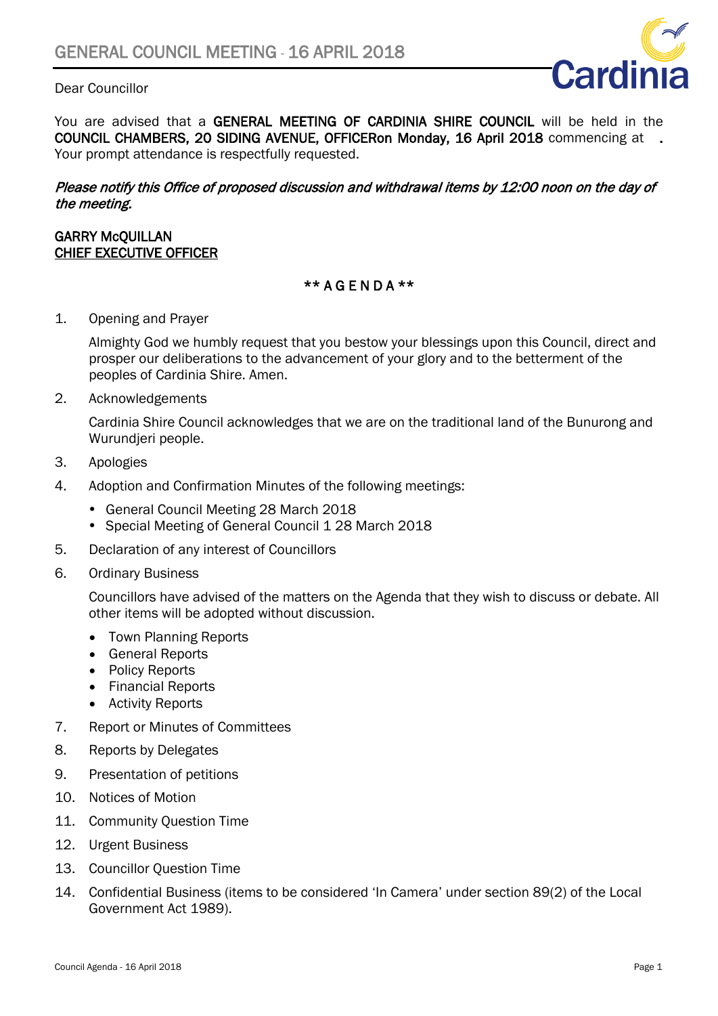## Dear Councillor



You are advised that a GENERAL MEETING OF CARDINIA SHIRE COUNCIL will be held in the COUNCIL CHAMBERS, 20 SIDING AVENUE, OFFICERon Monday, 16 April 2018 commencing at . Your prompt attendance is respectfully requested.

#### Please notify this Office of proposed discussion and withdrawal items by 12:00 noon on the day of the meeting.

#### GARRY McQUILLAN CHIEF EXECUTIVE OFFICER

### \*\* A G E N D A \*\*

1. Opening and Prayer

Almighty God we humbly request that you bestow your blessings upon this Council, direct and prosper our deliberations to the advancement of your glory and to the betterment of the peoples of Cardinia Shire. Amen.

2. Acknowledgements

Cardinia Shire Council acknowledges that we are on the traditional land of the Bunurong and Wurundjeri people.

- 3. Apologies
- 4. Adoption and Confirmation Minutes of the following meetings:
	- General Council Meeting 28 March 2018
	- Special Meeting of General Council 1 28 March 2018
- 5. Declaration of any interest of Councillors
- 6. Ordinary Business

Councillors have advised of the matters on the Agenda that they wish to discuss or debate. All other items will be adopted without discussion.

- Town Planning Reports
- General Reports
- Policy Reports
- Financial Reports
- Activity Reports
- 7. Report or Minutes of Committees
- 8. Reports by Delegates
- 9. Presentation of petitions
- 10. Notices of Motion
- 11. Community Question Time
- 12. Urgent Business
- 13. Councillor Question Time
- 14. Confidential Business (items to be considered 'In Camera' under section 89(2) of the Local Government Act 1989).